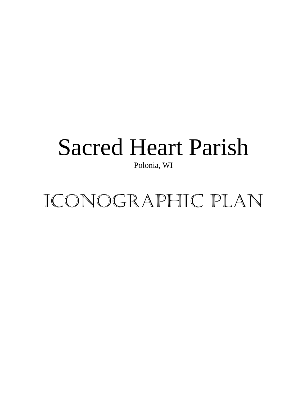## Sacred Heart Parish

Polonia, WI

Iconographic Plan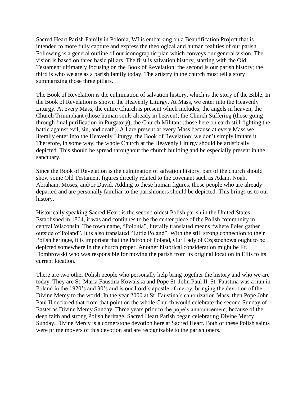Sacred Heart Parish Family in Polonia, WI is embarking on a Beautification Project that is intended to more fully capture and express the theological and human realities of our parish. Following is a general outline of our iconographic plan which conveys our general vision. The vision is based on three basic pillars. The first is salvation history, starting with the Old Testament ultimately focusing on the Book of Revelation; the second is our parish history; the third is who we are as a parish family today. The artistry in the church must tell a story summarizing those three pillars.

The Book of Revelation is the culmination of salvation history, which is the story of the Bible. In the Book of Revelation is shown the Heavenly Liturgy. At Mass, we enter into the Heavenly Liturgy. At every Mass, the entire Church is present which includes; the angels in heaven; the Church Triumphant (those human souls already in heaven); the Church Suffering (those going through final purification in Purgatory); the Church Militant (those here on earth still fighting the battle against evil, sin, and death). All are present at every Mass because at every Mass we literally enter into the Heavenly Liturgy, the Book of Revelation; we don't simply imitate it. Therefore, in some way, the whole Church at the Heavenly Liturgy should be artistically depicted. This should be spread throughout the church building and be especially present in the sanctuary.

Since the Book of Revelation is the culmination of salvation history, part of the church should show some Old Testament figures directly related to the covenant such as Adam, Noah, Abraham, Moses, and/or David. Adding to these human figures, those people who are already departed and are personally familiar to the parishioners should be depicted. This brings us to our history.

Historically speaking Sacred Heart is the second oldest Polish parish in the United States. Established in 1864, it was and continues to be the center piece of the Polish community in central Wisconsin. The town name, "Polonia", literally translated means "where Poles gather outside of Poland". It is also translated "Little Poland". With the still strong connection to their Polish heritage, it is important that the Patron of Poland, Our Lady of Częstochowa ought to be depicted somewhere in the church proper. Another historical consideration might be Fr. Dombrowski who was responsible for moving the parish from its original location in Ellis to its current location.

There are two other Polish people who personally help bring together the history and who we are today. They are St. Maria Faustina Kowalska and Pope St. John Paul II. St. Faustina was a nun in Poland in the 1920's and 30's and is our Lord's apostle of mercy, bringing the devotion of the Divine Mercy to the world. In the year 2000 at St. Faustina's canonization Mass, then Pope John Paul II declared that from that point on the whole Church would celebrate the second Sunday of Easter as Divine Mercy Sunday. Three years prior to the pope's announcement, because of the deep faith and strong Polish heritage, Sacred Heart Parish began celebrating Divine Mercy Sunday. Divine Mercy is a cornerstone devotion here at Sacred Heart. Both of these Polish saints were prime movers of this devotion and are recognizable to the parishioners.